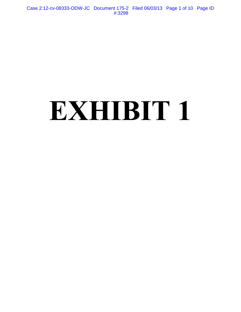Case 2:12-cv-08333-ODW-JC Document 175-2 Filed 06/03/13 Page 1 of 10 Page ID #:3298

# **EXHIBIT 1**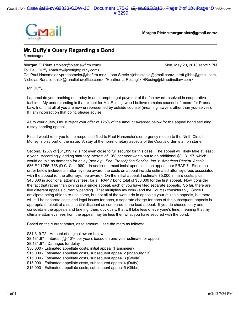

**Morgan Pietz <morganpietz@gmail.com>**

## **Mr. Duffy's Query Regarding a Bond**

5 messages

#### **Morgan E. Pietz <mpietz@pietzlawfirm.com> Monetable 20, 2013 at 5:57 PM**

To: Paul Duffy <paduffy@wefightpiracy.com>

Cc: Paul Hansmeier <prhansmeier@thefirm.mn>, John Steele <johnlsteele@gmail.com>, brett.gibbs@gmail.com, Nicholas Ranallo <nick@ranallolawoffice.com>, "Heather L. Rosing" <HRosing@klinedinstlaw.com>

Mr. Duffy,

I appreciate you reaching out today in an attempt to get payment of the fee award resolved in cooperative fashion. My understanding is that except for Ms. Rosing, who I believe remains counsel of record for Prenda Law, Inc., that all of you are now unrepresented by outside counsel (meaning lawyers other than yourselves). If I am incorrect on that point, please advise.

As to your query, I must reject your offer of 125% of the amount awarded below for the appeal bond securing a stay pending appeal.

First, I would refer you to the response I filed to Paul Hansmeier's emergency motion to the Ninth Circuit. Money is only part of the issue. A stay of the non-monetary aspects of the Court's order is a non starter.

Second, 125% of \$81,319.72 is not even close to full security for this case. The appeal will likely take at least a year. Accordingly, adding statutory interest of 10% per year works out to an additional \$8,131.97, which I would double as damages for delay (*see e.g., Fed. Prescription Service, Inc. v. American Phar'm. Asso'c*., 636 F.2d 755, 758 (D.C. Cir. 1980). In addition, I must insist upon costs on appeal, per FRAP 7. Since the order below includes an attorneys fee award, the costs on appeal include estimated attorneys fees associated with the appeal (of the attorneys' fee award). On the initial appeal, I estimate \$5,000 in hard costs, plus \$45,000 in additional attorneys fees, for a FRAP 7 bond total of \$50,000 for the first appeal. Now, consider the fact that rather than joining in a single appeal, each of you have filed separate appeals. So far, there are five different appeals currently pending. That multiplies my work (and the Court's) considerably. Since I anticipate being able to re-use some, but not all of the work I do in opposing your multiple appeals, but there will still be separate costs and legal issues for each, a separate charge for each of the subsequent appeals is appropriate, albeit at a substantial discount as compared to the lead appeal. If you do choose to try and consolidate the appeals and briefing, then, obviously, that will take less of everyone's time, meaning that my ultimate attorneys fees from the appeal may be less then what you have secured with the bond.

Based on the current status, as to amount, I see the math as follows:

\$81,319.72 - Amount of original award below \$8,131.97 - Interest (@ 10% per year), based on one-year estimate for appeal \$8,131.97 - Damages for delay \$50,000 - Estimated appellate costs, initial appeal (Hansmeier) \$15,000 - Estimated appellate costs, subsequent appeal 2 (Ingenuity 13) \$15,000 - Estimated appellate costs, subsequent appeal 3 (Steele) \$15,000 - Estimated appellate costs, subsequent appeal 4 (Duffy) \$15,000 - Estimated appellate costs, subsequent appeal 5 (Gibbs)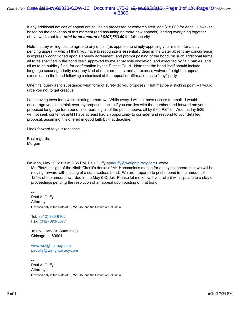If any additional notices of appeal are still being processed or contemplated, add \$15,000 for each. However, based on the docket as of this moment (and assuming no more new appeals), adding everything together above works out to a *total bond amount of \$207,583.60* for full security.

Note that my willingness to agree to any of this (as opposed to simply opposing your motion for a stay pending appeal -- which I think you have to recognize is essentially dead in the water absent my concurrence) is expressly conditioned upon a speedy agreement, and prompt posting of the bond, on such additional terms, all to be specified in the bond itself, approved by me at my sole discretion, and executed by \*all\* parties, and all as to be publicly filed, for confirmation by the District Court. Note that the bond itself should include language securing priority over any kind of other creditors, and an express waiver of a right to appeal execution on the bond following a dismissal of the appeal or affirmation as to \*any\* party.

One final query as to substance: what form of surety do you propose? That may be a sticking point -- I would urge you not to get creative.

I am leaving town for a week starting tomorrow. While away, I will not have access to email. I would encourage you all to think over my proposal, decide if you can live with that number, and forward me your proposed language for a bond, incorporating all of the points above, all by 5:00 PST on Wednesday 5/29. I will not seek contempt until I have at least had an opportunity to consider and respond to your detailed proposal, assuming it is offered in good faith by that deadline.

I look forward to your response.

Best regards, Morgan

On Mon, May 20, 2013 at 3:35 PM, Paul Duffy <paduffy@wefightpiracy.com> wrote:

Mr. Pietz: In light of the Ninth Circuit's denial of Mr. Hansmeier's motion for a stay, it appears that we will be moving forward with posting of a supersedeas bond. We are prepared to post a bond in the amount of 125% of the amount awarded in the May 6 Order. Please let me know if your client will stipulate to a stay of proceedings pending the resolution of an appeal upon posting of that bond.

-- Paul A. Duffy Attorney Licensed only in the state of IL, MA, CA, and the District of Columbia

Tel: (312) 880-9160 Fax: (312) 893-5677

161 N. Clark St. Suite 3200 Chicago, IL 60601

www.wefightpiracy.com paduffy@wefightpiracy.com

-- Paul A. Duffy Attorney Licensed only in the state of IL, MA, CA, and the District of Columbia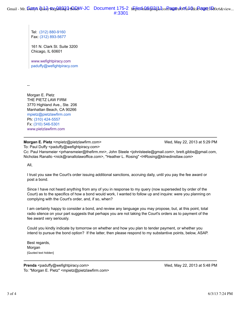Tel: (312) 880-9160 Fax: (312) 893-5677

161 N. Clark St. Suite 3200 Chicago, IL 60601

www.wefightpiracy.com paduffy@wefightpiracy.com

--

Morgan E. Pietz THE PIETZ LAW FIRM 3770 Highland Ave., Ste. 206 Manhattan Beach, CA 90266 mpietz@pietzlawfirm.com Ph: (310) 424-5557 Fx: (310) 546-5301 www.pietzlawfirm.com

#### **Morgan E. Pietz** <mpietz@pietzlawfirm.com> Wed, May 22, 2013 at 5:29 PM To: Paul Duffy <paduffy@wefightpiracy.com>

Cc: Paul Hansmeier <prhansmeier@thefirm.mn>, John Steele <johnlsteele@gmail.com>, brett.gibbs@gmail.com, Nicholas Ranallo <nick@ranallolawoffice.com>, "Heather L. Rosing" <HRosing@klinedinstlaw.com>

All,

I trust you saw the Court's order issuing additional sanctions, accruing daily, until you pay the fee award or post a bond.

Since I have not heard anything from any of you in response to my query (now superseded by order of the Court) as to the specifics of how a bond would work, I wanted to follow up and inquire: were you planning on complying with the Court's order, and, if so, when?

I am certainly happy to consider a bond, and review any language you may propose, but, at this point, total radio silence on your part suggests that perhaps you are not taking the Court's orders as to payment of the fee award very seriously.

Could you kindly indicate by tomorrow on whether and how you plan to tender payment, or whether you intend to pursue the bond option? If the latter, then please respond to my substantive points, below, ASAP.

Best regards, Morgan [Quoted text hidden]

**Prenda** <paduffy@wefightpiracy.com> Wed, May 22, 2013 at 5:48 PM To: "Morgan E. Pietz" <mpietz@pietzlawfirm.com>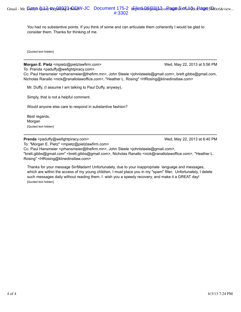You had no substantive points. If you think of some and can articulate them coherently I would be glad to consider them. Thanks for thinking of me.

[Quoted text hidden]

**Morgan E. Pietz** <mpietz@pietzlawfirm.com> Wed, May 22, 2013 at 5:56 PM

To: Prenda <paduffy@wefightpiracy.com>

Cc: Paul Hansmeier <prhansmeier@thefirm.mn>, John Steele <johnlsteele@gmail.com>, brett.gibbs@gmail.com, Nicholas Ranallo <nick@ranallolawoffice.com>, "Heather L. Rosing" <HRosing@klinedinstlaw.com>

Mr. Duffy, (I assume I am talking to Paul Duffy, anyway),

Simply, that is not a helpful comment.

Would anyone else care to respond in substantive fashion?

Best regards, Morgan [Quoted text hidden]

**Prenda** <paduffy@wefightpiracy.com> Wed, May 22, 2013 at 6:40 PM

To: "Morgan E. Pietz" <mpietz@pietzlawfirm.com>

Cc: Paul Hansmeier <prhansmeier@thefirm.mn>, John Steele <johnlsteele@gmail.com>, "brett.gibbs@gmail.com" <brett.gibbs@gmail.com>, Nicholas Ranallo <nick@ranallolawoffice.com>, "Heather L. Rosing" <HRosing@klinedinstlaw.com>

Thanks for your message Sir/Madam! Unfortunately, due to your inappropriate language and messages, which are within the access of my young children, I must place you in my "spam" filter. Unfortunately, I delete such messages daily without reading them. I wish you a speedy recovery, and make it a GREAT day! [Quoted text hidden]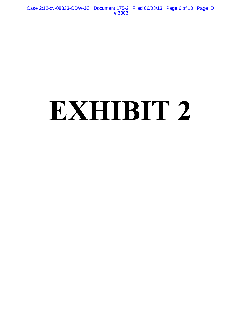Case 2:12-cv-08333-ODW-JC Document 175-2 Filed 06/03/13 Page 6 of 10 Page ID #:3303

# **EXHIBIT 2**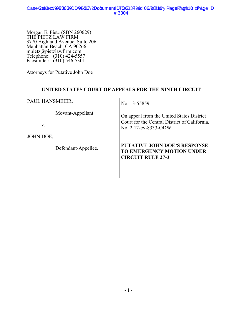Morgan E. Pietz (SBN 260629) THE PIETZ LAW FIRM 3770 Highland Avenue, Suite 206 Manhattan Beach, CA 90266 mpietz@pietzlawfirm.com Telephone: (310) 424-5557 Facsimile : (310) 546-5301

Attorneys for Putative John Doe

## **UNITED STATES COURT OF APPEALS FOR THE NINTH CIRCUIT**

PAUL HANSMEIER,

Movant-Appellant

v.

JOHN DOE,

Defendant-Appellee.

No. 13-55859

On appeal from the United States District Court for the Central District of California, No. 2:12-cv-8333-ODW

## **PUTATIVE JOHN DOE'S RESPONSE TO EMERGENCY MOTION UNDER CIRCUIT RULE 27-3**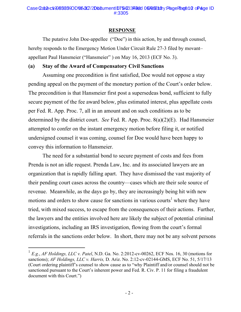#### **RESPONSE**

The putative John Doe-appellee ("Doe") in this action, by and through counsel, hereby responds to the Emergency Motion Under Circuit Rule 27-3 filed by movant– appellant Paul Hansmeier ("Hansmeier" ) on May 16, 2013 (ECF No. 3).

## **(a) Stay of the Award of Compensatory Civil Sanctions**

Assuming one precondition is first satisfied, Doe would not oppose a stay pending appeal on the payment of the monetary portion of the Court's order below. The precondition is that Hansmeier first post a supersedeas bond, sufficient to fully secure payment of the fee award below, plus estimated interest, plus appellate costs per Fed. R. App. Proc. 7, all in an amount and on such conditions as to be determined by the district court. *See* Fed. R. App. Proc. 8(a)(2)(E). Had Hansmeier attempted to confer on the instant emergency motion before filing it, or notified undersigned counsel it was coming, counsel for Doe would have been happy to convey this information to Hansmeier.

The need for a substantial bond to secure payment of costs and fees from Prenda is not an idle request. Prenda Law, Inc. and its associated lawyers are an organization that is rapidly falling apart. They have dismissed the vast majority of their pending court cases across the country—cases which are their sole source of revenue. Meanwhile, as the days go by, they are increasingly being hit with new motions and orders to show cause for sanctions in various courts<sup>1</sup> where they have tried, with mixed success, to escape from the consequences of their actions. Further, the lawyers and the entities involved here are likely the subject of potential criminal investigations, including an IRS investigation, flowing from the court's formal referrals in the sanctions order below. In short, there may not be any solvent persons

 <sup>1</sup> *E.g.*, *AF Holdings, LLC v. Patel*, N.D. Ga. No. 2:2012-cv-00262, ECF Nos. 16, 30 (motions for sanctions); *AF Holdings, LLC v. Harris,* D. Ariz. No. 2:12-cv-02144-GMS, ECF No. 51, 5/17/13 (Court ordering plaintiff's counsel to show cause as to "why Plaintiff and/or counsel should not be sanctioned pursuant to the Court's inherent power and Fed. R. Civ. P. 11 for filing a fraudulent document with this Court.")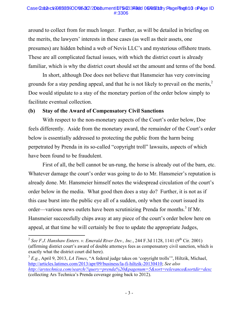#### Case 2a: 2:12-cv3983390DVb/JC/2Db8ument 1D75-233492d 06/067108y: Page Page 10 oPage ID #:3306

around to collect from for much longer. Further, as will be detailed in briefing on the merits, the lawyers' interests in these cases (as well as their assets, one presumes) are hidden behind a web of Nevis LLC's and mysterious offshore trusts. These are all complicated factual issues, with which the district court is already familiar, which is why the district court should set the amount and terms of the bond.

In short, although Doe does not believe that Hansmeier has very convincing grounds for a stay pending appeal, and that he is not likely to prevail on the merits, $\lambda$ Doe would stipulate to a stay of the monetary portion of the order below simply to facilitate eventual collection.

#### **(b) Stay of the Award of Compensatory Civil Sanctions**

With respect to the non-monetary aspects of the Court's order below, Doe feels differently. Aside from the monetary award, the remainder of the Court's order below is essentially addressed to protecting the public from the harm being perpetrated by Prenda in its so-called "copyright troll" lawsuits, aspects of which have been found to be fraudulent.

First of all, the bell cannot be un-rung, the horse is already out of the barn, etc. Whatever damage the court's order was going to do to Mr. Hansmeier's reputation is already done. Mr. Hansmeier himself notes the widespread circulation of the court's order below in the media. What good then does a stay do? Further, it is not as if this case burst into the public eye all of a sudden, only when the court issued its order—various news outlets have been scrutinizing Prenda for months.<sup>3</sup> If Mr. Hansmeier successfully chips away at any piece of the court's order below here on appeal, at that time he will certainly be free to update the appropriate Judges,

<sup>&</sup>lt;sup>2</sup> *See F.J. Hanshaw Enters. v. Emerald River Dev., Inc.*, 244 F.3d 1128, 1141 (9<sup>th</sup> Cir. 2001) (affirming district court's award of double attorneys fees as compensatory civil sanction, which is exactly what the district court did here).

<sup>3</sup> *E.g.*, April 9, 2013, *LA Times*, "A federal judge takes on 'copyright trolls'", Hiltzik, Michael, http://articles.latimes.com/2013/apr/09/business/la-fi-hiltzik-20130410; *See also http://arstechnica.com/search/?query=prenda%20&pagenum=5&sort=relevance&sortdir=desc* (collecting Ars Technica's Prenda coverage going back to 2012).